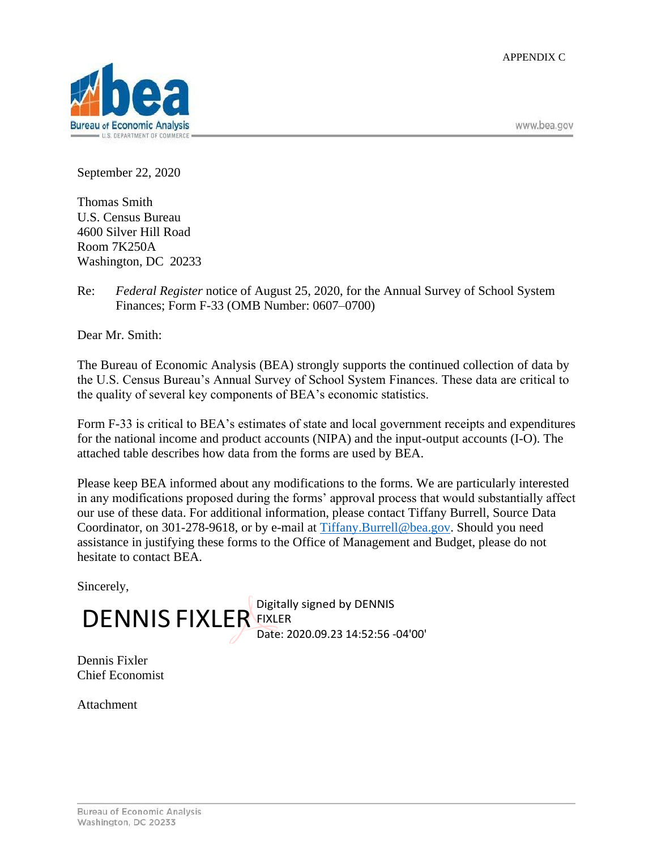APPENDIX C



www.bea.gov

September 22, 2020

Thomas Smith U.S. Census Bureau 4600 Silver Hill Road Room 7K250A Washington, DC 20233

Re: *Federal Register* notice of August 25, 2020, for the Annual Survey of School System Finances; Form F-33 (OMB Number: 0607–0700)

Dear Mr. Smith:

The Bureau of Economic Analysis (BEA) strongly supports the continued collection of data by the U.S. Census Bureau's Annual Survey of School System Finances. These data are critical to the quality of several key components of BEA's economic statistics.

Form F-33 is critical to BEA's estimates of state and local government receipts and expenditures for the national income and product accounts (NIPA) and the input-output accounts (I-O). The attached table describes how data from the forms are used by BEA.

Please keep BEA informed about any modifications to the forms. We are particularly interested in any modifications proposed during the forms' approval process that would substantially affect our use of these data. For additional information, please contact Tiffany Burrell, Source Data Coordinator, on 301-278-9618, or by e-mail at [Tiffany.Burrell@bea.gov.](mailto:Tiffany.Burrell@bea.gov) Should you need assistance in justifying these forms to the Office of Management and Budget, please do not hesitate to contact BEA.

Sincerely,

Digitally signed by DENNIS DENNIS FIXLER EIXLER Date: 2020.09.23 14:52:56 -04'00'

Dennis Fixler Chief Economist

**Attachment**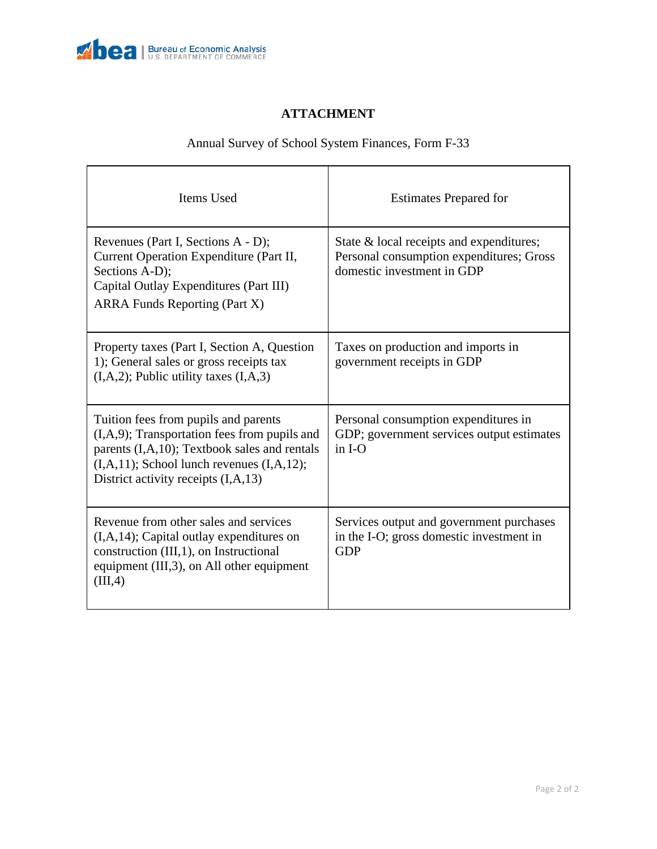

## **ATTACHMENT**

## Annual Survey of School System Finances, Form F-33

| Items Used                                                                                                                                                                                                                                  | <b>Estimates Prepared for</b>                                                                                      |
|---------------------------------------------------------------------------------------------------------------------------------------------------------------------------------------------------------------------------------------------|--------------------------------------------------------------------------------------------------------------------|
| Revenues (Part I, Sections A - D);<br>Current Operation Expenditure (Part II,<br>Sections A-D);<br>Capital Outlay Expenditures (Part III)<br><b>ARRA Funds Reporting (Part X)</b>                                                           | State & local receipts and expenditures;<br>Personal consumption expenditures; Gross<br>domestic investment in GDP |
| Property taxes (Part I, Section A, Question<br>1); General sales or gross receipts tax<br>$(I, A, 2)$ ; Public utility taxes $(I, A, 3)$                                                                                                    | Taxes on production and imports in<br>government receipts in GDP                                                   |
| Tuition fees from pupils and parents<br>$(I, A, 9)$ ; Transportation fees from pupils and<br>parents (I,A,10); Textbook sales and rentals<br>$(I, A, 11)$ ; School lunch revenues $(I, A, 12)$ ;<br>District activity receipts $(I, A, 13)$ | Personal consumption expenditures in<br>GDP; government services output estimates<br>$in I-O$                      |
| Revenue from other sales and services<br>$(I, A, 14)$ ; Capital outlay expenditures on<br>construction (III,1), on Instructional<br>equipment (III,3), on All other equipment<br>(III,4)                                                    | Services output and government purchases<br>in the I-O; gross domestic investment in<br><b>GDP</b>                 |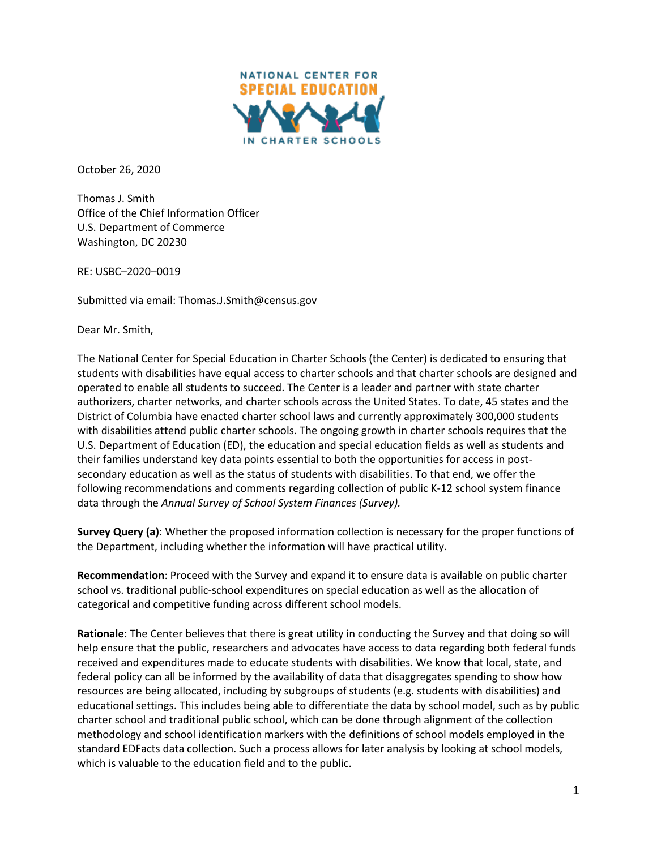

October 26, 2020

Thomas J. Smith Office of the Chief Information Officer U.S. Department of Commerce Washington, DC 20230

RE: USBC–2020–0019

Submitted via email: Thomas.J.Smith@census.gov

Dear Mr. Smith,

The National Center for Special Education in Charter Schools (the Center) is dedicated to ensuring that students with disabilities have equal access to charter schools and that charter schools are designed and operated to enable all students to succeed. The Center is a leader and partner with state charter authorizers, charter networks, and charter schools across the United States. To date, 45 states and the District of Columbia have enacted charter school laws and currently approximately 300,000 students with disabilities attend public charter schools. The ongoing growth in charter schools requires that the U.S. Department of Education (ED), the education and special education fields as well as students and their families understand key data points essential to both the opportunities for access in postsecondary education as well as the status of students with disabilities. To that end, we offer the following recommendations and comments regarding collection of public K-12 school system finance data through the *Annual Survey of School System Finances (Survey).*

**Survey Query (a)**: Whether the proposed information collection is necessary for the proper functions of the Department, including whether the information will have practical utility.

**Recommendation**: Proceed with the Survey and expand it to ensure data is available on public charter school vs. traditional public-school expenditures on special education as well as the allocation of categorical and competitive funding across different school models.

**Rationale**: The Center believes that there is great utility in conducting the Survey and that doing so will help ensure that the public, researchers and advocates have access to data regarding both federal funds received and expenditures made to educate students with disabilities. We know that local, state, and federal policy can all be informed by the availability of data that disaggregates spending to show how resources are being allocated, including by subgroups of students (e.g. students with disabilities) and educational settings. This includes being able to differentiate the data by school model, such as by public charter school and traditional public school, which can be done through alignment of the collection methodology and school identification markers with the definitions of school models employed in the standard EDFacts data collection. Such a process allows for later analysis by looking at school models, which is valuable to the education field and to the public.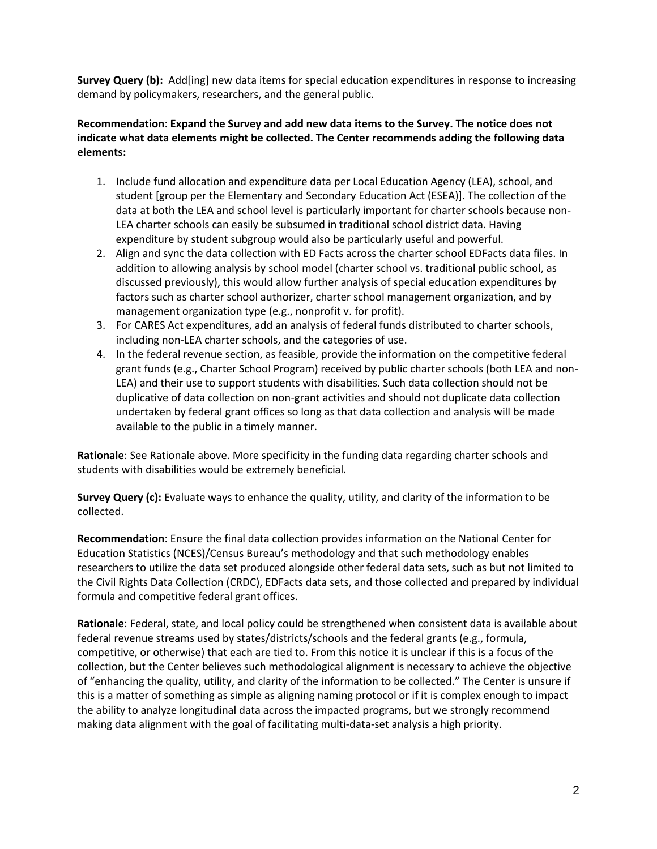**Survey Query (b):** Add[ing] new data items for special education expenditures in response to increasing demand by policymakers, researchers, and the general public.

## **Recommendation**: **Expand the Survey and add new data items to the Survey. The notice does not indicate what data elements might be collected. The Center recommends adding the following data elements:**

- 1. Include fund allocation and expenditure data per Local Education Agency (LEA), school, and student [group per the Elementary and Secondary Education Act (ESEA)]. The collection of the data at both the LEA and school level is particularly important for charter schools because non-LEA charter schools can easily be subsumed in traditional school district data. Having expenditure by student subgroup would also be particularly useful and powerful.
- 2. Align and sync the data collection with ED Facts across the charter school EDFacts data files. In addition to allowing analysis by school model (charter school vs. traditional public school, as discussed previously), this would allow further analysis of special education expenditures by factors such as charter school authorizer, charter school management organization, and by management organization type (e.g., nonprofit v. for profit).
- 3. For CARES Act expenditures, add an analysis of federal funds distributed to charter schools, including non-LEA charter schools, and the categories of use.
- 4. In the federal revenue section, as feasible, provide the information on the competitive federal grant funds (e.g., Charter School Program) received by public charter schools (both LEA and non-LEA) and their use to support students with disabilities. Such data collection should not be duplicative of data collection on non-grant activities and should not duplicate data collection undertaken by federal grant offices so long as that data collection and analysis will be made available to the public in a timely manner.

**Rationale**: See Rationale above. More specificity in the funding data regarding charter schools and students with disabilities would be extremely beneficial.

**Survey Query (c):** Evaluate ways to enhance the quality, utility, and clarity of the information to be collected.

**Recommendation**: Ensure the final data collection provides information on the National Center for Education Statistics (NCES)/Census Bureau's methodology and that such methodology enables researchers to utilize the data set produced alongside other federal data sets, such as but not limited to the Civil Rights Data Collection (CRDC), EDFacts data sets, and those collected and prepared by individual formula and competitive federal grant offices.

**Rationale**: Federal, state, and local policy could be strengthened when consistent data is available about federal revenue streams used by states/districts/schools and the federal grants (e.g., formula, competitive, or otherwise) that each are tied to. From this notice it is unclear if this is a focus of the collection, but the Center believes such methodological alignment is necessary to achieve the objective of "enhancing the quality, utility, and clarity of the information to be collected." The Center is unsure if this is a matter of something as simple as aligning naming protocol or if it is complex enough to impact the ability to analyze longitudinal data across the impacted programs, but we strongly recommend making data alignment with the goal of facilitating multi-data-set analysis a high priority.